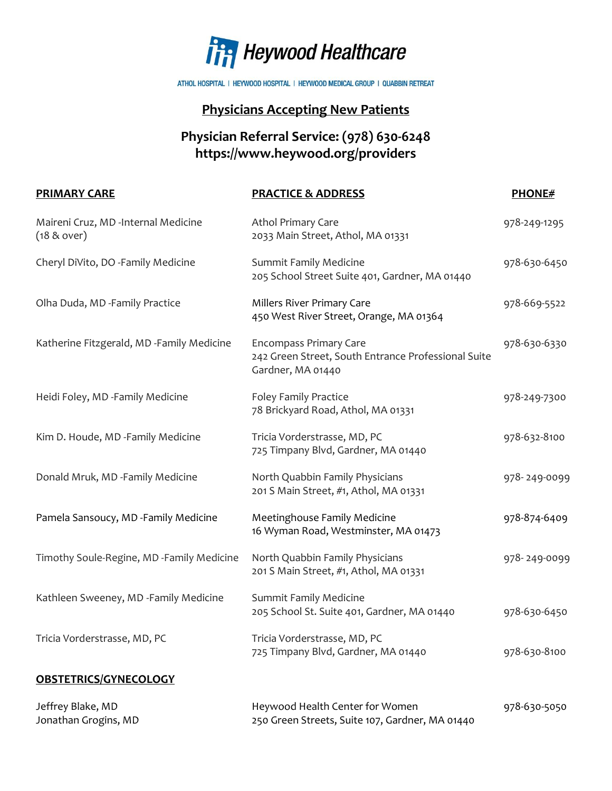

ATHOL HOSPITAL | HEYWOOD HOSPITAL | HEYWOOD MEDICAL GROUP | QUABBIN RETREAT

## **Physicians Accepting New Patients**

## **Physician Referral Service: (978) 630-6248 https://www.heywood.org/providers**

| <b>PRIMARY CARE</b>                                  | <b>PRACTICE &amp; ADDRESS</b>                                                                             | <b>PHONE#</b> |
|------------------------------------------------------|-----------------------------------------------------------------------------------------------------------|---------------|
| Maireni Cruz, MD -Internal Medicine<br>$(18 &$ over) | Athol Primary Care<br>2033 Main Street, Athol, MA 01331                                                   | 978-249-1295  |
| Cheryl DiVito, DO -Family Medicine                   | Summit Family Medicine<br>205 School Street Suite 401, Gardner, MA 01440                                  | 978-630-6450  |
| Olha Duda, MD -Family Practice                       | Millers River Primary Care<br>450 West River Street, Orange, MA 01364                                     | 978-669-5522  |
| Katherine Fitzgerald, MD -Family Medicine            | <b>Encompass Primary Care</b><br>242 Green Street, South Entrance Professional Suite<br>Gardner, MA 01440 | 978-630-6330  |
| Heidi Foley, MD -Family Medicine                     | Foley Family Practice<br>78 Brickyard Road, Athol, MA 01331                                               | 978-249-7300  |
| Kim D. Houde, MD -Family Medicine                    | Tricia Vorderstrasse, MD, PC<br>725 Timpany Blvd, Gardner, MA 01440                                       | 978-632-8100  |
| Donald Mruk, MD -Family Medicine                     | North Quabbin Family Physicians<br>201 S Main Street, #1, Athol, MA 01331                                 | 978-249-0099  |
| Pamela Sansoucy, MD -Family Medicine                 | Meetinghouse Family Medicine<br>16 Wyman Road, Westminster, MA 01473                                      | 978-874-6409  |
| Timothy Soule-Regine, MD -Family Medicine            | North Quabbin Family Physicians<br>201 S Main Street, #1, Athol, MA 01331                                 | 978-249-0099  |
| Kathleen Sweeney, MD -Family Medicine                | <b>Summit Family Medicine</b><br>205 School St. Suite 401, Gardner, MA 01440                              | 978-630-6450  |
| Tricia Vorderstrasse, MD, PC                         | Tricia Vorderstrasse, MD, PC<br>725 Timpany Blvd, Gardner, MA 01440                                       | 978-630-8100  |
| <b>OBSTETRICS/GYNECOLOGY</b>                         |                                                                                                           |               |
| Jeffrey Blake, MD<br>Jonathan Grogins, MD            | Heywood Health Center for Women<br>250 Green Streets, Suite 107, Gardner, MA 01440                        | 978-630-5050  |